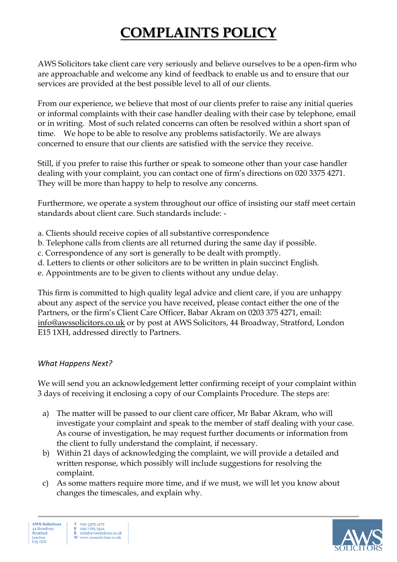## **COMPLAINTS POLICY**

AWS Solicitors take client care very seriously and believe ourselves to be a open-firm who are approachable and welcome any kind of feedback to enable us and to ensure that our services are provided at the best possible level to all of our clients.

From our experience, we believe that most of our clients prefer to raise any initial queries or informal complaints with their case handler dealing with their case by telephone, email or in writing. Most of such related concerns can often be resolved within a short span of time. We hope to be able to resolve any problems satisfactorily. We are always concerned to ensure that our clients are satisfied with the service they receive.

Still, if you prefer to raise this further or speak to someone other than your case handler dealing with your complaint, you can contact one of firm's directions on 020 3375 4271. They will be more than happy to help to resolve any concerns.

Furthermore, we operate a system throughout our office of insisting our staff meet certain standards about client care. Such standards include: -

- a. Clients should receive copies of all substantive correspondence
- b. Telephone calls from clients are all returned during the same day if possible.
- c. Correspondence of any sort is generally to be dealt with promptly.
- d. Letters to clients or other solicitors are to be written in plain succinct English.
- e. Appointments are to be given to clients without any undue delay.

This firm is committed to high quality legal advice and client care, if you are unhappy about any aspect of the service you have received, please contact either the one of the Partners, or the firm's Client Care Officer, Babar Akram on 0203 375 4271, email: info@awssolicitors.co.uk or by post at AWS Solicitors, 44 Broadway, Stratford, London E15 1XH, addressed directly to Partners.

## *What Happens Next?*

We will send you an acknowledgement letter confirming receipt of your complaint within 3 days of receiving it enclosing a copy of our Complaints Procedure. The steps are:

- a) The matter will be passed to our client care officer, Mr Babar Akram, who will investigate your complaint and speak to the member of staff dealing with your case. As course of investigation, he may request further documents or information from the client to fully understand the complaint, if necessary.
- b) Within 21 days of acknowledging the complaint, we will provide a detailed and written response, which possibly will include suggestions for resolving the complaint.
- c) As some matters require more time, and if we must, we will let you know about changes the timescales, and explain why.

**AWS Solicitors** 44 Broadway Stratford Londo E<sub>15</sub> 1XH